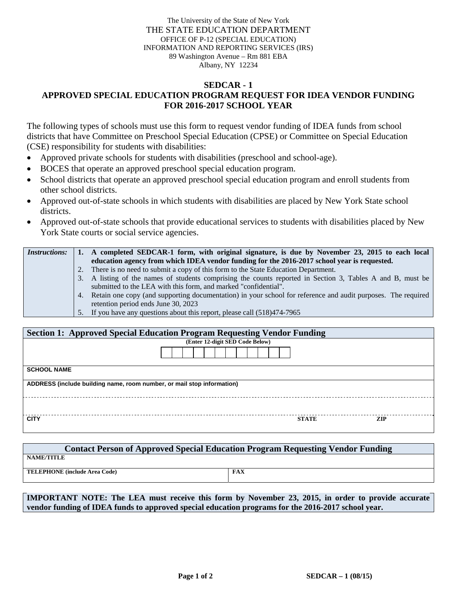The University of the State of New York THE STATE EDUCATION DEPARTMENT OFFICE OF P-12 (SPECIAL EDUCATION) INFORMATION AND REPORTING SERVICES (IRS) 89 Washington Avenue – Rm 881 EBA Albany, NY 12234

## **SEDCAR - 1 APPROVED SPECIAL EDUCATION PROGRAM REQUEST FOR IDEA VENDOR FUNDING FOR 2016-2017 SCHOOL YEAR**

The following types of schools must use this form to request vendor funding of IDEA funds from school districts that have Committee on Preschool Special Education (CPSE) or Committee on Special Education (CSE) responsibility for students with disabilities:

- Approved private schools for students with disabilities (preschool and school-age).
- BOCES that operate an approved preschool special education program.
- School districts that operate an approved preschool special education program and enroll students from other school districts.
- Approved out-of-state schools in which students with disabilities are placed by New York State school districts.
- Approved out-of-state schools that provide educational services to students with disabilities placed by New York State courts or social service agencies.

| <i>Instructions:</i> | 1. A completed SEDCAR-1 form, with original signature, is due by November 23, 2015 to each local                |
|----------------------|-----------------------------------------------------------------------------------------------------------------|
|                      | education agency from which IDEA vendor funding for the 2016-2017 school year is requested.                     |
|                      | 2. There is no need to submit a copy of this form to the State Education Department.                            |
|                      | 3. A listing of the names of students comprising the counts reported in Section 3, Tables A and B, must be      |
|                      | submitted to the LEA with this form, and marked "confidential".                                                 |
|                      | 4. Retain one copy (and supporting documentation) in your school for reference and audit purposes. The required |
|                      | retention period ends June 30, 2023                                                                             |
|                      | 5. If you have any questions about this report, please call (518)474-7965                                       |

| <b>Section 1: Approved Special Education Program Requesting Vendor Funding</b> |  |              |            |  |  |  |  |
|--------------------------------------------------------------------------------|--|--------------|------------|--|--|--|--|
| (Enter 12-digit SED Code Below)                                                |  |              |            |  |  |  |  |
|                                                                                |  |              |            |  |  |  |  |
| <b>SCHOOL NAME</b>                                                             |  |              |            |  |  |  |  |
| ADDRESS (include building name, room number, or mail stop information)         |  |              |            |  |  |  |  |
|                                                                                |  |              |            |  |  |  |  |
| <b>CITY</b>                                                                    |  | <b>STATE</b> | <b>ZIP</b> |  |  |  |  |

| <b>Contact Person of Approved Special Education Program Requesting Vendor Funding</b> |     |  |  |  |  |  |
|---------------------------------------------------------------------------------------|-----|--|--|--|--|--|
| <b>NAME/TITLE</b>                                                                     |     |  |  |  |  |  |
| <b>TELEPHONE</b> (include Area Code)                                                  | FAX |  |  |  |  |  |

**IMPORTANT NOTE: The LEA must receive this form by November 23, 2015, in order to provide accurate vendor funding of IDEA funds to approved special education programs for the 2016-2017 school year.**